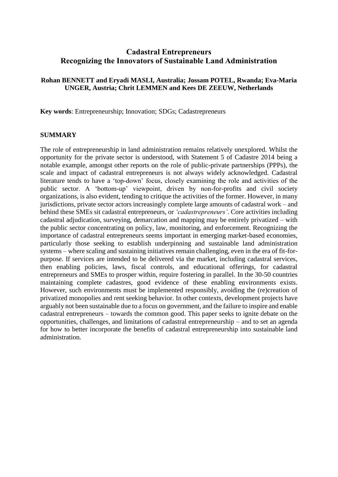# **Cadastral Entrepreneurs Recognizing the Innovators of Sustainable Land Administration**

## **Rohan BENNETT and Eryadi MASLI, Australia; Jossam POTEL, Rwanda; Eva-Maria UNGER, Austria; Chrit LEMMEN and Kees DE ZEEUW, Netherlands**

**Key words**: Entrepreneurship; Innovation; SDGs; Cadastrepreneurs

#### **SUMMARY**

The role of entrepreneurship in land administration remains relatively unexplored. Whilst the opportunity for the private sector is understood, with Statement 5 of Cadastre 2014 being a notable example, amongst other reports on the role of public-private partnerships (PPPs), the scale and impact of cadastral entrepreneurs is not always widely acknowledged. Cadastral literature tends to have a 'top-down' focus, closely examining the role and activities of the public sector. A 'bottom-up' viewpoint, driven by non-for-profits and civil society organizations, is also evident, tending to critique the activities of the former. However, in many jurisdictions, private sector actors increasingly complete large amounts of cadastral work – and behind these SMEs sit cadastral entrepreneurs, or *'cadastrepreneurs'*. Core activities including cadastral adjudication, surveying, demarcation and mapping may be entirely privatized – with the public sector concentrating on policy, law, monitoring, and enforcement. Recognizing the importance of cadastral entrepreneurs seems important in emerging market-based economies, particularly those seeking to establish underpinning and sustainable land administration systems – where scaling and sustaining initiatives remain challenging, even in the era of fit-forpurpose. If services are intended to be delivered via the market, including cadastral services, then enabling policies, laws, fiscal controls, and educational offerings, for cadastral entrepreneurs and SMEs to prosper within, require fostering in parallel. In the 30-50 countries maintaining complete cadastres, good evidence of these enabling environments exists. However, such environments must be implemented responsibly, avoiding the (re)creation of privatized monopolies and rent seeking behavior. In other contexts, development projects have arguably not been sustainable due to a focus on government, and the failure to inspire and enable cadastral entrepreneurs – towards the common good. This paper seeks to ignite debate on the opportunities, challenges, and limitations of cadastral entrepreneurship – and to set an agenda for how to better incorporate the benefits of cadastral entrepreneurship into sustainable land administration.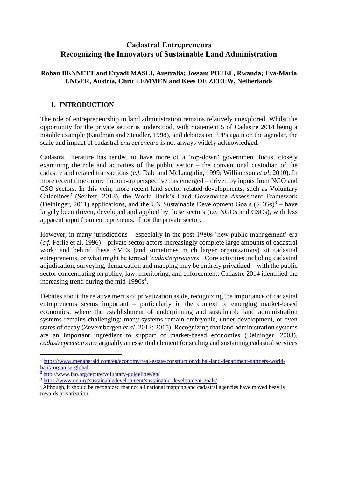# **Cadastral Entrepreneurs Recognizing the Innovators of Sustainable Land Administration**

## **Rohan BENNETT and Eryadi MASLI, Australia; Jossam POTEL, Rwanda; Eva-Maria UNGER, Austria, Chrit LEMMEN and Kees DE ZEEUW, Netherlands**

# **1. INTRODUCTION**

The role of entrepreneurship in land administration remains relatively unexplored. Whilst the opportunity for the private sector is understood, with Statement 5 of Cadastre 2014 being a notable example (Kaufman and Steudler, 1998), and debates on PPPs again on the agenda<sup>1</sup>, the scale and impact of cadastral *entrepreneurs* is not always widely acknowledged.

Cadastral literature has tended to have more of a 'top-down' government focus, closely examining the role and activities of the public sector – the conventional custodian of the cadastre and related transactions (*c.f.* Dale and McLaughlin, 1999; Williamson *et al*, 2010). In more recent times more bottom-up perspective has emerged – driven by inputs from NGO and CSO sectors. In this vein, more recent land sector related developments, such as Voluntary Guidelines<sup>2</sup> (Seufert, 2013), the World Bank's Land Governance Assessment Framework (Deininger, 2011) applications, and the UN Sustainable Development Goals  $(SDGs)^3$  – have largely been driven, developed and applied by these sectors (i.e. NGOs and CSOs), with less apparent input from entrepreneurs, if not the private sector.

However, in many jurisdictions – especially in the post-1980s 'new public management' era (*c.f.* Ferlie et al, 1996) – private sector actors increasingly complete large amounts of cadastral work; and behind these SMEs (and sometimes much larger organizations) sit cadastral entrepreneurs, or what might be termed '*cadasterpreneurs'*. Core activities including cadastral adjudication, surveying, demarcation and mapping may be entirely privatized – with the public sector concentrating on policy, law, monitoring, and enforcement: Cadastre 2014 identified the increasing trend during the mid-1990 $s<sup>4</sup>$ .

Debates about the relative merits of privatization aside, recognizing the importance of cadastral entrepreneurs seems important – particularly in the context of emerging market-based economies, where the establishment of underpinning and sustainable land administration systems remains challenging: many systems remain embryonic, under development, or even states of decay (Zevernbergen *et al*, 2013; 2015). Recognizing that land administration systems are an important ingredient to support of market-based economies (Deininger, 2003), *cadastrepreneurs* are arguably an essential element for scaling and sustaining cadastral services

<sup>1</sup> [https://www.menaherald.com/en/economy/real-estate-construction/dubai-land-department-partners-world](https://www.menaherald.com/en/economy/real-estate-construction/dubai-land-department-partners-world-bank-organise-global)[bank-organise-global](https://www.menaherald.com/en/economy/real-estate-construction/dubai-land-department-partners-world-bank-organise-global)

<sup>2</sup> <http://www.fao.org/tenure/voluntary-guidelines/en/>

<sup>3</sup> <https://www.un.org/sustainabledevelopment/sustainable-development-goals/>

<sup>&</sup>lt;sup>4</sup> Although, it should be recognized that not all national mapping and cadastral agencies have moved heavily towards privatization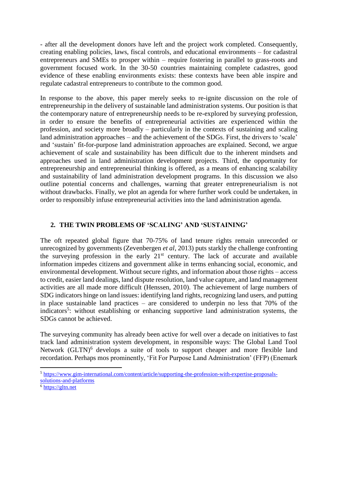- after all the development donors have left and the project work completed. Consequently, creating enabling policies, laws, fiscal controls, and educational environments – for cadastral entrepreneurs and SMEs to prosper within – require fostering in parallel to grass-roots and government focused work. In the 30-50 countries maintaining complete cadastres, good evidence of these enabling environments exists: these contexts have been able inspire and regulate cadastral entrepreneurs to contribute to the common good.

In response to the above, this paper merely seeks to re-ignite discussion on the role of entrepreneurship in the delivery of sustainable land administration systems. Our position is that the contemporary nature of entrepreneurship needs to be re-explored by surveying profession, in order to ensure the benefits of entrepreneurial activities are experienced within the profession, and society more broadly – particularly in the contexts of sustaining and scaling land administration approaches – and the achievement of the SDGs. First, the drivers to 'scale' and 'sustain' fit-for-purpose land administration approaches are explained. Second, we argue achievement of scale and sustainability has been difficult due to the inherent mindsets and approaches used in land administration development projects. Third, the opportunity for entrepreneurship and entrepreneurial thinking is offered, as a means of enhancing scalability and sustainability of land administration development programs. In this discussion we also outline potential concerns and challenges, warning that greater entrepreneurialism is not without drawbacks. Finally, we plot an agenda for where further work could be undertaken, in order to responsibly infuse entrepreneurial activities into the land administration agenda.

# **2. THE TWIN PROBLEMS OF 'SCALING' AND 'SUSTAINING'**

The oft repeated global figure that 70-75% of land tenure rights remain unrecorded or unrecognized by governments (Zevenbergen *et al*, 2013) puts starkly the challenge confronting the surveying profession in the early  $21<sup>st</sup>$  century. The lack of accurate and available information impedes citizens and government alike in terms enhancing social, economic, and environmental development. Without secure rights, and information about those rights – access to credit, easier land dealings, land dispute resolution, land value capture, and land management activities are all made more difficult (Henssen, 2010). The achievement of large numbers of SDG indicators hinge on land issues: identifying land rights, recognizing land users, and putting in place sustainable land practices – are considered to underpin no less that 70% of the indicators<sup>5</sup>: without establishing or enhancing supportive land administration systems, the SDGs cannot be achieved.

The surveying community has already been active for well over a decade on initiatives to fast track land administration system development, in responsible ways: The Global Land Tool Network  $(GLTN)^6$  develops a suite of tools to support cheaper and more flexible land recordation. Perhaps mos prominently, 'Fit For Purpose Land Administration' (FFP) (Enemark

<sup>5</sup> [https://www.gim-international.com/content/article/supporting-the-profession-with-expertise-proposals](https://www.gim-international.com/content/article/supporting-the-profession-with-expertise-proposals-solutions-and-platforms)[solutions-and-platforms](https://www.gim-international.com/content/article/supporting-the-profession-with-expertise-proposals-solutions-and-platforms) <sup>6</sup> [https://gltn.net](https://gltn.net/)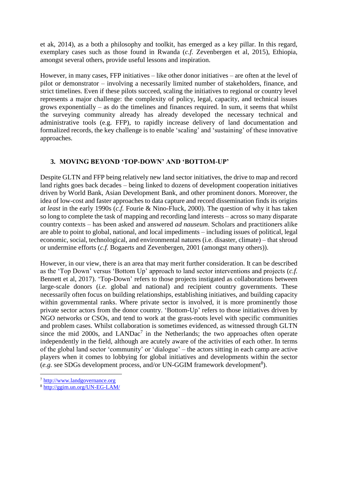et ak, 2014), as a both a philosophy and toolkit, has emerged as a key pillar. In this regard, exemplary cases such as those found in Rwanda (*c.f.* Zevenbergen et al, 2015), Ethiopia, amongst several others, provide useful lessons and inspiration.

However, in many cases, FFP initiatives – like other donor initiatives – are often at the level of pilot or demonstrator – involving a necessarily limited number of stakeholders, finance, and strict timelines. Even if these pilots succeed, scaling the initiatives to regional or country level represents a major challenge: the complexity of policy, legal, capacity, and technical issues grows exponentially – as do the timelines and finances required. In sum, it seems that whilst the surveying community already has already developed the necessary technical and administrative tools (e.g. FFP), to rapidly increase delivery of land documentation and formalized records, the key challenge is to enable 'scaling' and 'sustaining' of these innovative approaches.

# **3. MOVING BEYOND 'TOP-DOWN' AND 'BOTTOM-UP'**

Despite GLTN and FFP being relatively new land sector initiatives, the drive to map and record land rights goes back decades – being linked to dozens of development cooperation initiatives driven by World Bank, Asian Development Bank, and other prominent donors. Moreover, the idea of low-cost and faster approaches to data capture and record dissemination finds its origins *at least* in the early 1990s (*c.f.* Fourie & Nino-Fluck, 2000). The question of why it has taken so long to complete the task of mapping and recording land interests – across so many disparate country contexts – has been asked and answered *ad nauseum*. Scholars and practitioners alike are able to point to global, national, and local impediments – including issues of political, legal economic, social, technological, and environmental natures (i.e. disaster, climate) – that shroud or undermine efforts (*c.f.* Bogaerts and Zevenbergen, 2001 (amongst many others)).

However, in our view, there is an area that may merit further consideration. It can be described as the 'Top Down' versus 'Bottom Up' approach to land sector interventions and projects (*c.f.* Bennett et al, 2017). 'Top-Down' refers to those projects instigated as collaborations between large-scale donors *(i.e.* global and national) and recipient country governments. These necessarily often focus on building relationships, establishing initiatives, and building capacity within governmental ranks. Where private sector is involved, it is more prominently those private sector actors from the donor country. 'Bottom-Up' refers to those initiatives driven by NGO networks or CSOs, and tend to work at the grass-roots level with specific communities and problem cases. Whilst collaboration is sometimes evidenced, as witnessed through GLTN since the mid  $2000s$ , and  $LANDac<sup>7</sup>$  in the Netherlands; the two approaches often operate independently in the field, although are acutely aware of the activities of each other. In terms of the global land sector 'community' or 'dialogue' – the actors sitting in each camp are active players when it comes to lobbying for global initiatives and developments within the sector (e.g. see SDGs development process, and/or UN-GGIM framework development<sup>8</sup>).

<sup>7</sup> [http://www.landgovernance.org](http://www.landgovernance.org/)

<sup>8</sup> <http://ggim.un.org/UN-EG-LAM/>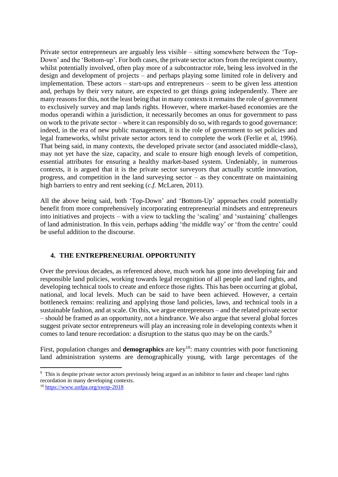Private sector entrepreneurs are arguably less visible – sitting somewhere between the 'Top-Down' and the 'Bottom-up'. For both cases, the private sector actors from the recipient country, whilst potentially involved, often play more of a subcontractor role, being less involved in the design and development of projects – and perhaps playing some limited role in delivery and implementation. These actors – start-ups and entrepreneurs – seem to be given less attention and, perhaps by their very nature, are expected to get things going independently. There are many reasons for this, not the least being that in many contexts it remains the role of government to exclusively survey and map lands rights. However, where market-based economies are the modus operandi within a jurisdiction, it necessarily becomes an onus for government to pass on work to the private sector – where it can responsibly do so, with regards to good governance: indeed, in the era of new public management, it is the role of government to set policies and legal frameworks, whilst private sector actors tend to complete the work (Ferlie et al, 1996). That being said, in many contexts, the developed private sector (and associated middle-class), may not yet have the size, capacity, and scale to ensure high enough levels of competition, essential attributes for ensuring a healthy market-based system. Undeniably, in numerous contexts, it is argued that it is the private sector surveyors that actually scuttle innovation, progress, and competition in the land surveying sector – as they concentrate on maintaining high barriers to entry and rent seeking (*c.f.* McLaren, 2011).

All the above being said, both 'Top-Down' and 'Bottom-Up' approaches could potentially benefit from more comprehensively incorporating entrepreneurial mindsets and entrepreneurs into initiatives and projects – with a view to tackling the 'scaling' and 'sustaining' challenges of land administration. In this vein, perhaps adding 'the middle way' or 'from the centre' could be useful addition to the discourse.

## **4. THE ENTREPRENEURIAL OPPORTUNITY**

Over the previous decades, as referenced above, much work has gone into developing fair and responsible land policies, working towards legal recognition of all people and land rights, and developing technical tools to create and enforce those rights. This has been occurring at global, national, and local levels. Much can be said to have been achieved. However, a certain bottleneck remains: realizing and applying those land policies, laws, and technical tools in a sustainable fashion, and at scale. On this, we argue entrepreneurs – and the related private sector – should be framed as an opportunity, not a hindrance. We also argue that several global forces suggest private sector entrepreneurs will play an increasing role in developing contexts when it comes to land tenure recordation: a disruption to the status quo may be on the cards.<sup>9</sup>

First, population changes and **demographics** are key<sup>10</sup>: many countries with poor functioning land administration systems are demographically young, with large percentages of the

<sup>&</sup>lt;sup>9</sup> This is despite private sector actors previously being argued as an inhibitor to faster and cheaper land rights recordation in many developing contexts.

<sup>10</sup> <https://www.unfpa.org/swop-2018>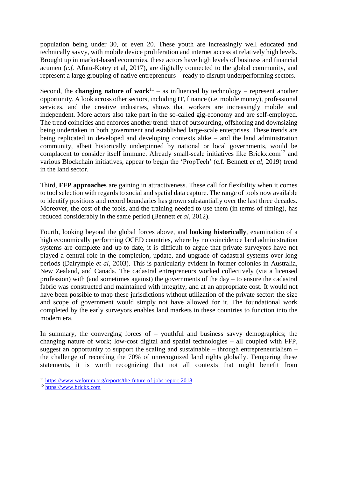population being under 30, or even 20. These youth are increasingly well educated and technically savvy, with mobile device proliferation and internet access at relatively high levels. Brought up in market-based economies, these actors have high levels of business and financial acumen (*c.f.* Afutu-Kotey et al, 2017), are digitally connected to the global community, and represent a large grouping of native entrepreneurs – ready to disrupt underperforming sectors.

Second, the **changing nature of work**<sup>11</sup> – as influenced by technology – represent another opportunity. A look across other sectors, including IT, finance (i.e. mobile money), professional services, and the creative industries, shows that workers are increasingly mobile and independent. More actors also take part in the so-called gig-economy and are self-employed. The trend coincides and enforces another trend: that of outsourcing, offshoring and downsizing being undertaken in both government and established large-scale enterprises. These trends are being replicated in developed and developing contexts alike – and the land administration community, albeit historically underpinned by national or local governments, would be complacent to consider itself immune. Already small-scale initiatives like Brickx.com<sup>12</sup> and various Blockchain initiatives, appear to begin the 'PropTech' (c.f. Bennett *et al*, 2019) trend in the land sector.

Third, **FFP approaches** are gaining in attractiveness. These call for flexibility when it comes to tool selection with regards to social and spatial data capture. The range of tools now available to identify positions and record boundaries has grown substantially over the last three decades. Moreover, the cost of the tools, and the training needed to use them (in terms of timing), has reduced considerably in the same period (Bennett *et al*, 2012).

Fourth, looking beyond the global forces above, and **looking historically**, examination of a high economically performing OCED countries, where by no coincidence land administration systems are complete and up-to-date, it is difficult to argue that private surveyors have not played a central role in the completion, update, and upgrade of cadastral systems over long periods (Dalrymple *et al*, 2003). This is particularly evident in former colonies in Australia, New Zealand, and Canada. The cadastral entrepreneurs worked collectively (via a licensed profession) with (and sometimes against) the governments of the day – to ensure the cadastral fabric was constructed and maintained with integrity, and at an appropriate cost. It would not have been possible to map these jurisdictions without utilization of the private sector: the size and scope of government would simply not have allowed for it. The foundational work completed by the early surveyors enables land markets in these countries to function into the modern era.

In summary, the converging forces of  $-$  youthful and business savvy demographics; the changing nature of work; low-cost digital and spatial technologies – all coupled with FFP, suggest an opportunity to support the scaling and sustainable – through entrepreneurialism – the challenge of recording the 70% of unrecognized land rights globally. Tempering these statements, it is worth recognizing that not all contexts that might benefit from

<sup>&</sup>lt;sup>11</sup> <https://www.weforum.org/reports/the-future-of-jobs-report-2018>

<sup>12</sup> [https://www.brickx.com](https://www.brickx.com/)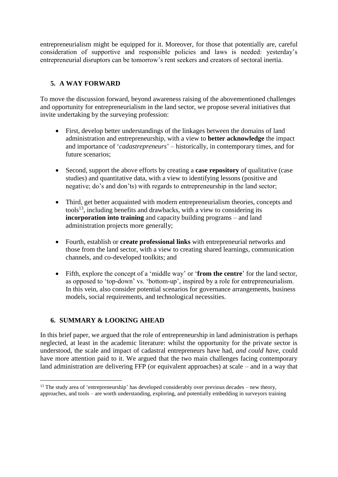entrepreneurialism might be equipped for it. Moreover, for those that potentially are, careful consideration of supportive and responsible policies and laws is needed: yesterday's entrepreneurial disruptors can be tomorrow's rent seekers and creators of sectoral inertia.

# **5. A WAY FORWARD**

To move the discussion forward, beyond awareness raising of the abovementioned challenges and opportunity for entrepreneurialism in the land sector, we propose several initiatives that invite undertaking by the surveying profession:

- First, develop better understandings of the linkages between the domains of land administration and entrepreneurship, with a view to **better acknowledge** the impact and importance of '*cadastrepreneurs*' – historically, in contemporary times, and for future scenarios;
- Second, support the above efforts by creating a **case repository** of qualitative (case studies) and quantitative data, with a view to identifying lessons (positive and negative; do's and don'ts) with regards to entrepreneurship in the land sector;
- Third, get better acquainted with modern entrepreneurialism theories, concepts and  $tools<sup>13</sup>$ , including benefits and drawbacks, with a view to considering its **incorporation into training** and capacity building programs – and land administration projects more generally;
- Fourth, establish or **create professional links** with entrepreneurial networks and those from the land sector, with a view to creating shared learnings, communication channels, and co-developed toolkits; and
- Fifth, explore the concept of a 'middle way' or '**from the centre**' for the land sector, as opposed to 'top-down' vs. 'bottom-up', inspired by a role for entrepreneurialism. In this vein, also consider potential scenarios for governance arrangements, business models, social requirements, and technological necessities.

## **6. SUMMARY & LOOKING AHEAD**

 $\overline{a}$ 

In this brief paper, we argued that the role of entrepreneurship in land administration is perhaps neglected, at least in the academic literature: whilst the opportunity for the private sector is understood, the scale and impact of cadastral entrepreneurs have had, *and could have*, could have more attention paid to it. We argued that the two main challenges facing contemporary land administration are delivering FFP (or equivalent approaches) at scale – and in a way that

 $13$  The study area of 'entrepreneurship' has developed considerably over previous decades – new theory, approaches, and tools – are worth understanding, exploring, and potentially embedding in surveyors training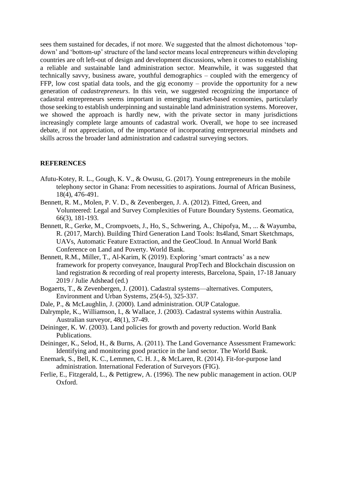sees them sustained for decades, if not more. We suggested that the almost dichotomous 'topdown' and 'bottom-up' structure of the land sector means local entrepreneurs within developing countries are oft left-out of design and development discussions, when it comes to establishing a reliable and sustainable land administration sector. Meanwhile, it was suggested that technically savvy, business aware, youthful demographics – coupled with the emergency of FFP, low cost spatial data tools, and the gig economy – provide the opportunity for a new generation of *cadastrepreneurs*. In this vein, we suggested recognizing the importance of cadastral entrepreneurs seems important in emerging market-based economies, particularly those seeking to establish underpinning and sustainable land administration systems. Moreover, we showed the approach is hardly new, with the private sector in many jurisdictions increasingly complete large amounts of cadastral work. Overall, we hope to see increased debate, if not appreciation, of the importance of incorporating entrepreneurial mindsets and skills across the broader land administration and cadastral surveying sectors.

#### **REFERENCES**

- Afutu-Kotey, R. L., Gough, K. V., & Owusu, G. (2017). Young entrepreneurs in the mobile telephony sector in Ghana: From necessities to aspirations. Journal of African Business, 18(4), 476-491.
- Bennett, R. M., Molen, P. V. D., & Zevenbergen, J. A. (2012). Fitted, Green, and Volunteered: Legal and Survey Complexities of Future Boundary Systems. Geomatica, 66(3), 181-193.
- Bennett, R., Gerke, M., Crompvoets, J., Ho, S., Schwering, A., Chipofya, M., ... & Wayumba, R. (2017, March). Building Third Generation Land Tools: Its4land, Smart Sketchmaps, UAVs, Automatic Feature Extraction, and the GeoCloud. In Annual World Bank Conference on Land and Poverty. World Bank.
- Bennett, R.M., Miller, T., Al-Karim, K (2019). Exploring 'smart contracts' as a new framework for property conveyance, Inaugural PropTech and Blockchain discussion on land registration & recording of real property interests, Barcelona, Spain, 17-18 January 2019 / Julie Adshead (ed.)
- Bogaerts, T., & Zevenbergen, J. (2001). Cadastral systems—alternatives. Computers, Environment and Urban Systems, 25(4-5), 325-337.
- Dale, P., & McLaughlin, J. (2000). Land administration. OUP Catalogue.
- Dalrymple, K., Williamson, I., & Wallace, J. (2003). Cadastral systems within Australia. Australian surveyor, 48(1), 37-49.
- Deininger, K. W. (2003). Land policies for growth and poverty reduction. World Bank Publications.
- Deininger, K., Selod, H., & Burns, A. (2011). The Land Governance Assessment Framework: Identifying and monitoring good practice in the land sector. The World Bank.
- Enemark, S., Bell, K. C., Lemmen, C. H. J., & McLaren, R. (2014). Fit-for-purpose land administration. International Federation of Surveyors (FIG).
- Ferlie, E., Fitzgerald, L., & Pettigrew, A. (1996). The new public management in action. OUP Oxford.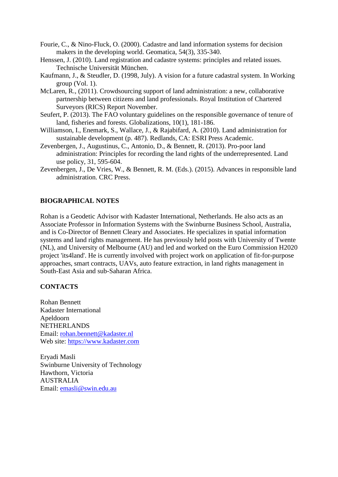- Fourie, C., & Nino-Fluck, O. (2000). Cadastre and land information systems for decision makers in the developing world. Geomatica, 54(3), 335-340.
- Henssen, J. (2010). Land registration and cadastre systems: principles and related issues. Technische Universität München.
- Kaufmann, J., & Steudler, D. (1998, July). A vision for a future cadastral system. In Working group (Vol. 1).
- McLaren, R., (2011). Crowdsourcing support of land administration: a new, collaborative partnership between citizens and land professionals. Royal Institution of Chartered Surveyors (RICS) Report November.
- Seufert, P. (2013). The FAO voluntary guidelines on the responsible governance of tenure of land, fisheries and forests. Globalizations, 10(1), 181-186.
- Williamson, I., Enemark, S., Wallace, J., & Rajabifard, A. (2010). Land administration for sustainable development (p. 487). Redlands, CA: ESRI Press Academic.
- Zevenbergen, J., Augustinus, C., Antonio, D., & Bennett, R. (2013). Pro-poor land administration: Principles for recording the land rights of the underrepresented. Land use policy, 31, 595-604.
- Zevenbergen, J., De Vries, W., & Bennett, R. M. (Eds.). (2015). Advances in responsible land administration. CRC Press.

#### **BIOGRAPHICAL NOTES**

Rohan is a Geodetic Advisor with Kadaster International, Netherlands. He also acts as an Associate Professor in Information Systems with the Swinburne Business School, Australia, and is Co-Director of Bennett Cleary and Associates. He specializes in spatial information systems and land rights management. He has previously held posts with University of Twente (NL), and University of Melbourne (AU) and led and worked on the Euro Commission H2020 project 'its4land'. He is currently involved with project work on application of fit-for-purpose approaches, smart contracts, UAVs, auto feature extraction, in land rights management in South-East Asia and sub-Saharan Africa.

#### **CONTACTS**

Rohan Bennett Kadaster International Apeldoorn NETHERLANDS Email: [rohan.bennett@kadaster.nl](mailto:rohan.bennett@kadaster.nl) Web site: [https://www.kadaster.com](https://www.kadaster.com/)

Eryadi Masli Swinburne University of Technology Hawthorn, Victoria AUSTRALIA Email: [emasli@swin.edu.au](mailto:emasli@swin.edu.au)